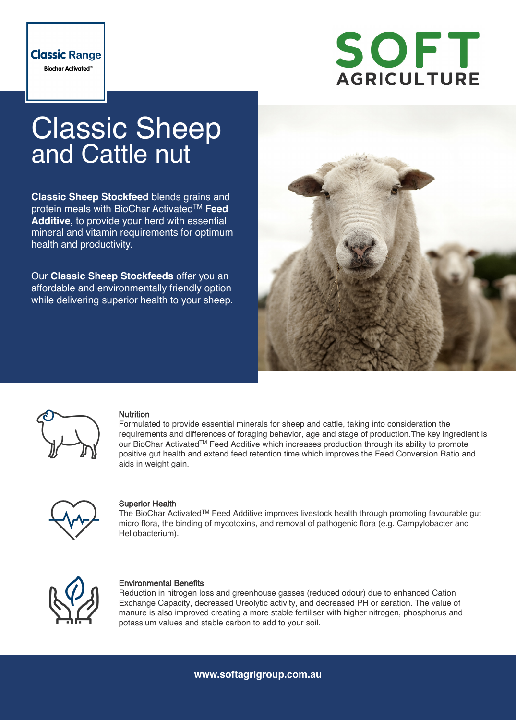### **Classic Range**





# Classic Sheep and Cattle nut

**Classic Sheep Stockfeed** blends grains and protein meals with BioChar ActivatedTM **Feed Additive,** to provide your herd with essential mineral and vitamin requirements for optimum health and productivity.

Our **Classic Sheep Stockfeeds** offer you an affordable and environmentally friendly option while delivering superior health to your sheep.





#### **Nutrition**

Formulated to provide essential minerals for sheep and cattle, taking into consideration the requirements and differences of foraging behavior, age and stage of production.The key ingredient is our BioChar ActivatedTM Feed Additive which increases production through its ability to promote positive gut health and extend feed retention time which improves the Feed Conversion Ratio and aids in weight gain.



#### Superior Health

The BioChar ActivatedTM Feed Additive improves livestock health through promoting favourable gut micro flora, the binding of mycotoxins, and removal of pathogenic flora (e.g. Campylobacter and Heliobacterium).



#### Environmental Benefits

Reduction in nitrogen loss and greenhouse gasses (reduced odour) due to enhanced Cation Exchange Capacity, decreased Ureolytic activity, and decreased PH or aeration. The value of manure is also improved creating a more stable fertiliser with higher nitrogen, phosphorus and potassium values and stable carbon to add to your soil.